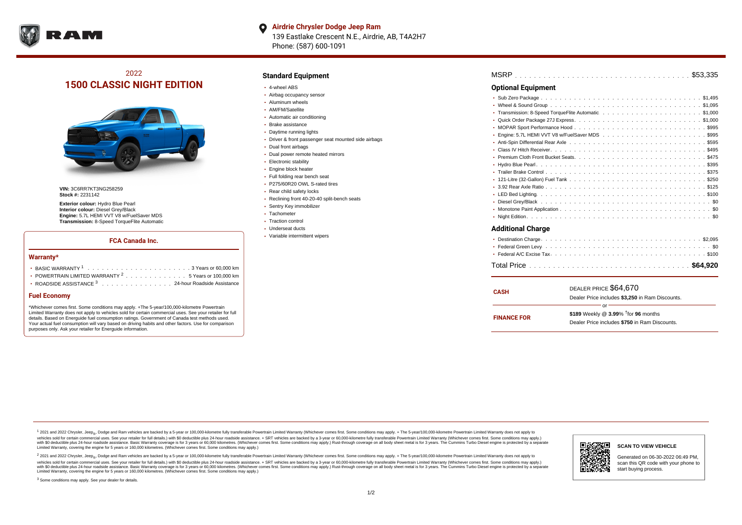

#### **Airdrie Chrysler Dodge Jeep Ram**  $\bullet$

139 Eastlake Crescent N.E., Airdrie, AB, T4A2H7 Phone: (587) 600-1091

# 2022 **1500 CLASSIC NIGHT EDITION**



**VIN:** 3C6RR7KT3NG258259 **Stock #:** 2231142

**Exterior colour:** Hydro Blue Pearl **Interior colour:** Diesel Grey/Black **Engine:** 5.7L HEMI VVT V8 w/FuelSaver MDS **Transmission:** 8-Speed TorqueFlite Automatic

## **FCA Canada Inc.**

#### **Warranty\***

| • POWERTRAIN LIMITED WARRANTY <sup>2</sup> 5 Years or 100,000 km |
|------------------------------------------------------------------|
| • ROADSIDE ASSISTANCE 3 24-hour Roadside Assistance              |

### **Fuel Economy**

\*Whichever comes first. Some conditions may apply. +The 5-year/100,000-kilometre Powertrain Limited Warranty does not apply to vehicles sold for certain commercial uses. See your retailer for full details. Based on Energuide fuel consumption ratings. Government of Canada test methods used. Your actual fuel consumption will vary based on driving habits and other factors. Use for comparison purposes only. Ask your retailer for Energuide information.

## **Standard Equipment**

- 4-wheel ABS
- Airbag occupancy sensor
- Aluminum wheels
- AM/FM/Satellite
- Automatic air conditioning
- Brake assistance
- Daytime running lights
- Driver & front passenger seat mounted side airbags
- Dual front airbags
- Dual power remote heated mirrors
- **Electronic stability**
- Engine block heater
- Full folding rear bench seat
- P275/60R20 OWL S-rated tires
- Rear child safety locks
- Reclining front 40-20-40 split-bench seats
- Sentry Key immobilizer
- Tachometer • Traction control
- Underseat ducts
- Variable intermittent wipers

| <b>Optional Equipment</b> |  |  |
|---------------------------|--|--|
|                           |  |  |
|                           |  |  |
|                           |  |  |
|                           |  |  |
|                           |  |  |
|                           |  |  |
|                           |  |  |
|                           |  |  |
|                           |  |  |
|                           |  |  |
|                           |  |  |
|                           |  |  |
|                           |  |  |
|                           |  |  |
| $\bullet$                 |  |  |
|                           |  |  |
|                           |  |  |
| <b>Additional Charge</b>  |  |  |
|                           |  |  |
|                           |  |  |
|                           |  |  |

| <b>CASH</b>        | DEALER PRICE \$64,670                              |
|--------------------|----------------------------------------------------|
|                    | Dealer Price includes \$3,250 in Ram Discounts.    |
|                    | Ωr                                                 |
| <b>FINANCE FOR</b> | \$189 Weekly @ $3.99\%$ <sup>†</sup> for 96 months |
|                    | Dealer Price includes \$750 in Ram Discounts.      |
|                    |                                                    |

. . . . . . . . . . . . . . . . . . . . . . . . . . . . . . . . . . . . . . . . . . . . . . Total Price **\$64,920**

1 2021 and 2022 Chrysler, Jeep<sub>en</sub> Dodge and Ram vehicles are backed by a 5-year or 100,000-kilometre fully transferable Powertrain Limited Warranty (Whichever comes first. Some conditions may apply. + The 5-year/100,000-k vehicles sold for certain commercial uses. See your retailer for full details.) with \$0 deductible plus 24-hour roadside assistance. + SRT vehicles are backed by a 3-year or 60,000-kilometre fully transferable Powertrain L versus and contract the mean of the contract of the contract with a contract with a contract the contract of the search of the contract and a control of the contract and contract and control of the search of the search of Limited Warranty, covering the engine for 5 years or 160,000 kilometres. (Whichever comes first. Some conditions may apply.)

<sup>2</sup> 2021 and 2022 Chrysler, Jeep<sub>®</sub>, Dodge and Ram vehicles are backed by a 5-year or 100,000-kilometre fully transferable Powertrain Limited Warranty (Whichever comes first. Some conditions may apply. + The 5-year/100,000 vehicles sold for certain commercial uses. See your retailer for full details.) with SO deductible plus 24-hour roadside assistance. + SRT vehicles are backed by a 3-year or 60.000-kilometre fully transferable Powertrain. with S0 deductible plus 24-hour roadside assistance. Basic Warranty coverage is for 3 years or 60,000 kilometres. (Whichever comes first. Some conditions may apply.) Rust-through coverage on all body sheet metal is for 3 y **SCAN TO VIEW VEHICLE** Generated on 06-30-2022 06:49 PM, scan this QR code with your phone to start buying process.

<sup>3</sup> Some conditions may apply. See your dealer for details.